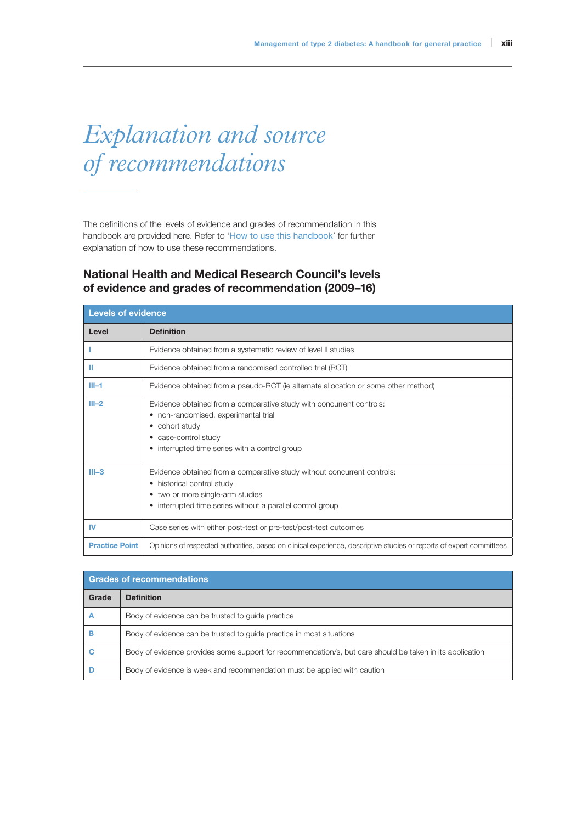## *Explanation and source of recommendations*

The definitions of the levels of evidence and grades of recommendation in this handbook are provided here. Refer to 'How to use this handbook' for further explanation of how to use these recommendations.

## National Health and Medical Research Council's levels of evidence and grades of recommendation (2009–16)

| <b>Levels of evidence</b> |                                                                                                                                                                                                          |  |  |
|---------------------------|----------------------------------------------------------------------------------------------------------------------------------------------------------------------------------------------------------|--|--|
| Level                     | <b>Definition</b>                                                                                                                                                                                        |  |  |
|                           | Evidence obtained from a systematic review of level II studies                                                                                                                                           |  |  |
| ш                         | Evidence obtained from a randomised controlled trial (RCT)                                                                                                                                               |  |  |
| $III-1$                   | Evidence obtained from a pseudo-RCT (ie alternate allocation or some other method)                                                                                                                       |  |  |
| $III - 2$                 | Evidence obtained from a comparative study with concurrent controls:<br>• non-randomised, experimental trial<br>• cohort study<br>• case-control study<br>• interrupted time series with a control group |  |  |
| $III-3$                   | Evidence obtained from a comparative study without concurrent controls:<br>• historical control study<br>• two or more single-arm studies<br>• interrupted time series without a parallel control group  |  |  |
| <b>IV</b>                 | Case series with either post-test or pre-test/post-test outcomes                                                                                                                                         |  |  |
| <b>Practice Point</b>     | Opinions of respected authorities, based on clinical experience, descriptive studies or reports of expert committees                                                                                     |  |  |

| <b>Grades of recommendations</b> |                                                                                                          |  |
|----------------------------------|----------------------------------------------------------------------------------------------------------|--|
| Grade                            | <b>Definition</b>                                                                                        |  |
|                                  | Body of evidence can be trusted to quide practice                                                        |  |
|                                  | Body of evidence can be trusted to quide practice in most situations                                     |  |
| С                                | Body of evidence provides some support for recommendation/s, but care should be taken in its application |  |
|                                  | Body of evidence is weak and recommendation must be applied with caution                                 |  |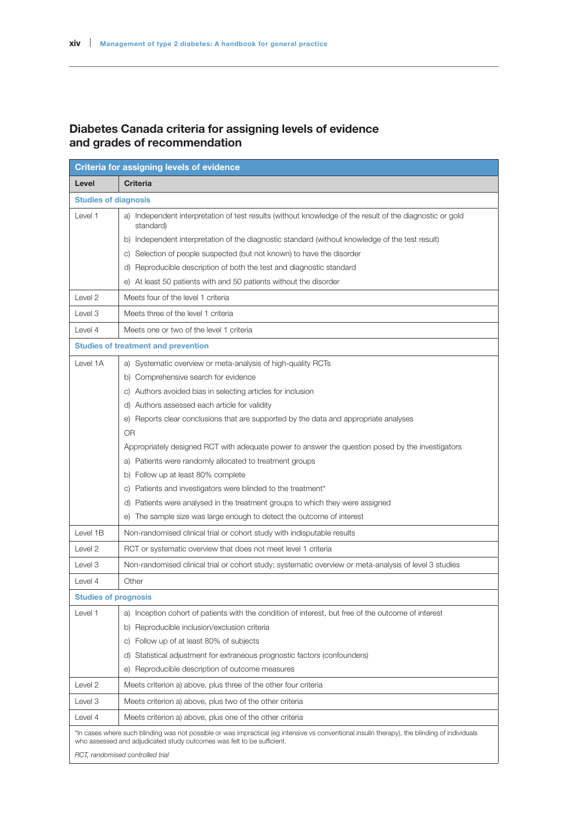## Diabetes Canada criteria for assigning levels of evidence and grades of recommendation

| <b>Criteria for assigning levels of evidence</b>                                                                                                                                                                        |                                                                                                                       |  |  |
|-------------------------------------------------------------------------------------------------------------------------------------------------------------------------------------------------------------------------|-----------------------------------------------------------------------------------------------------------------------|--|--|
| Level                                                                                                                                                                                                                   | <b>Criteria</b>                                                                                                       |  |  |
| <b>Studies of diagnosis</b>                                                                                                                                                                                             |                                                                                                                       |  |  |
| Level 1                                                                                                                                                                                                                 | a) Independent interpretation of test results (without knowledge of the result of the diagnostic or gold<br>standard) |  |  |
|                                                                                                                                                                                                                         | b) Independent interpretation of the diagnostic standard (without knowledge of the test result)                       |  |  |
|                                                                                                                                                                                                                         | Selection of people suspected (but not known) to have the disorder<br>C)                                              |  |  |
|                                                                                                                                                                                                                         | d) Reproducible description of both the test and diagnostic standard                                                  |  |  |
|                                                                                                                                                                                                                         | e) At least 50 patients with and 50 patients without the disorder                                                     |  |  |
| Level 2                                                                                                                                                                                                                 | Meets four of the level 1 criteria                                                                                    |  |  |
| Level 3                                                                                                                                                                                                                 | Meets three of the level 1 criteria                                                                                   |  |  |
| Level 4                                                                                                                                                                                                                 | Meets one or two of the level 1 criteria                                                                              |  |  |
| <b>Studies of treatment and prevention</b>                                                                                                                                                                              |                                                                                                                       |  |  |
| Level 1A                                                                                                                                                                                                                | a) Systematic overview or meta-analysis of high-quality RCTs                                                          |  |  |
|                                                                                                                                                                                                                         | b) Comprehensive search for evidence                                                                                  |  |  |
|                                                                                                                                                                                                                         | c) Authors avoided bias in selecting articles for inclusion                                                           |  |  |
|                                                                                                                                                                                                                         | d) Authors assessed each article for validity                                                                         |  |  |
|                                                                                                                                                                                                                         | e) Reports clear conclusions that are supported by the data and appropriate analyses                                  |  |  |
|                                                                                                                                                                                                                         | <b>OR</b>                                                                                                             |  |  |
|                                                                                                                                                                                                                         | Appropriately designed RCT with adequate power to answer the question posed by the investigators                      |  |  |
|                                                                                                                                                                                                                         | a) Patients were randomly allocated to treatment groups                                                               |  |  |
|                                                                                                                                                                                                                         | b) Follow up at least 80% complete                                                                                    |  |  |
|                                                                                                                                                                                                                         | c) Patients and investigators were blinded to the treatment*                                                          |  |  |
|                                                                                                                                                                                                                         | d) Patients were analysed in the treatment groups to which they were assigned                                         |  |  |
|                                                                                                                                                                                                                         | The sample size was large enough to detect the outcome of interest<br>e)                                              |  |  |
| Level 1B                                                                                                                                                                                                                | Non-randomised clinical trial or cohort study with indisputable results                                               |  |  |
| Level 2                                                                                                                                                                                                                 | RCT or systematic overview that does not meet level 1 criteria                                                        |  |  |
| Level 3                                                                                                                                                                                                                 | Non-randomised clinical trial or cohort study; systematic overview or meta-analysis of level 3 studies                |  |  |
| Level 4                                                                                                                                                                                                                 | Other                                                                                                                 |  |  |
| <b>Studies of prognosis</b>                                                                                                                                                                                             |                                                                                                                       |  |  |
| Level 1                                                                                                                                                                                                                 | a) Inception cohort of patients with the condition of interest, but free of the outcome of interest                   |  |  |
|                                                                                                                                                                                                                         | b) Reproducible inclusion/exclusion criteria                                                                          |  |  |
|                                                                                                                                                                                                                         | c) Follow up of at least 80% of subjects                                                                              |  |  |
|                                                                                                                                                                                                                         | Statistical adjustment for extraneous prognostic factors (confounders)<br>d)                                          |  |  |
|                                                                                                                                                                                                                         | Reproducible description of outcome measures<br>$\Theta$                                                              |  |  |
| Level 2                                                                                                                                                                                                                 | Meets criterion a) above, plus three of the other four criteria                                                       |  |  |
| Level 3                                                                                                                                                                                                                 | Meets criterion a) above, plus two of the other criteria                                                              |  |  |
| Level 4                                                                                                                                                                                                                 | Meets criterion a) above, plus one of the other criteria                                                              |  |  |
| *In cases where such blinding was not possible or was impractical (eg intensive vs conventional insulin therapy), the blinding of individuals<br>who assessed and adjudicated study outcomes was felt to be sufficient. |                                                                                                                       |  |  |
|                                                                                                                                                                                                                         | RCT, randomised controlled trial                                                                                      |  |  |